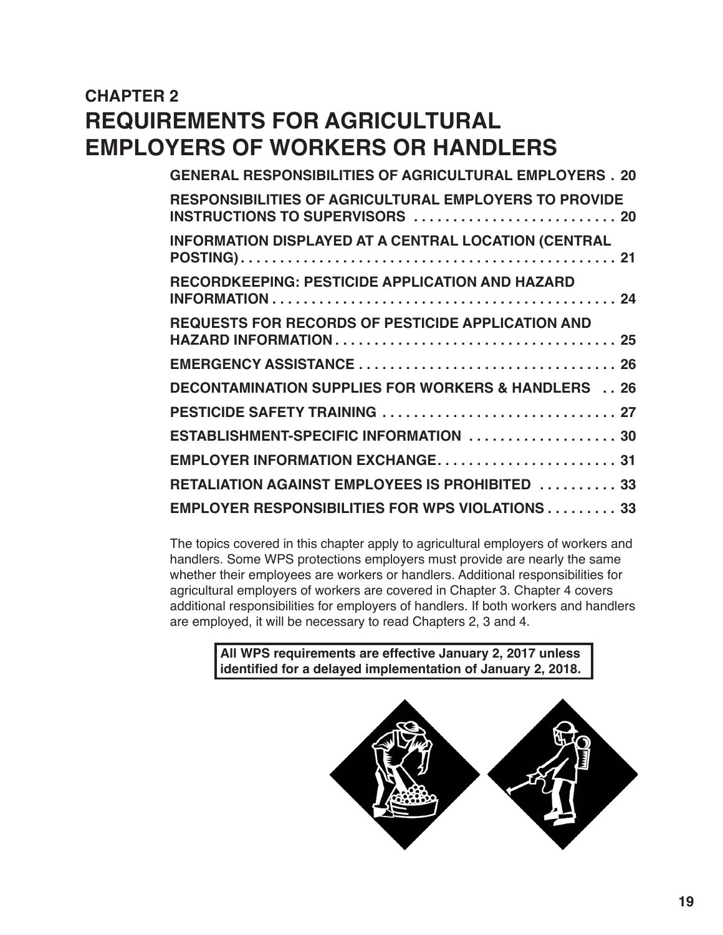# **CHAPTER 2 REQUIREMENTS FOR AGRICULTURAL EMPLOYERS OF WORKERS OR HANDLERS**

| <b>GENERAL RESPONSIBILITIES OF AGRICULTURAL EMPLOYERS . 20</b>                                  |
|-------------------------------------------------------------------------------------------------|
| <b>RESPONSIBILITIES OF AGRICULTURAL EMPLOYERS TO PROVIDE</b><br>INSTRUCTIONS TO SUPERVISORS  20 |
| INFORMATION DISPLAYED AT A CENTRAL LOCATION (CENTRAL                                            |
| <b>RECORDKEEPING: PESTICIDE APPLICATION AND HAZARD</b>                                          |
| <b>REQUESTS FOR RECORDS OF PESTICIDE APPLICATION AND</b>                                        |
|                                                                                                 |
| <b>DECONTAMINATION SUPPLIES FOR WORKERS &amp; HANDLERS  26</b>                                  |
|                                                                                                 |
| ESTABLISHMENT-SPECIFIC INFORMATION  30                                                          |
| EMPLOYER INFORMATION EXCHANGE 31                                                                |
| RETALIATION AGAINST EMPLOYEES IS PROHIBITED  33                                                 |
| <b>EMPLOYER RESPONSIBILITIES FOR WPS VIOLATIONS 33</b>                                          |

The topics covered in this chapter apply to agricultural employers of workers and handlers. Some WPS protections employers must provide are nearly the same whether their employees are workers or handlers. Additional responsibilities for agricultural employers of workers are covered in Chapter 3. Chapter 4 covers additional responsibilities for employers of handlers. If both workers and handlers are employed, it will be necessary to read Chapters 2, 3 and 4.

> **All WPS requirements are effective January 2, 2017 unless identified for a delayed implementation of January 2, 2018.**

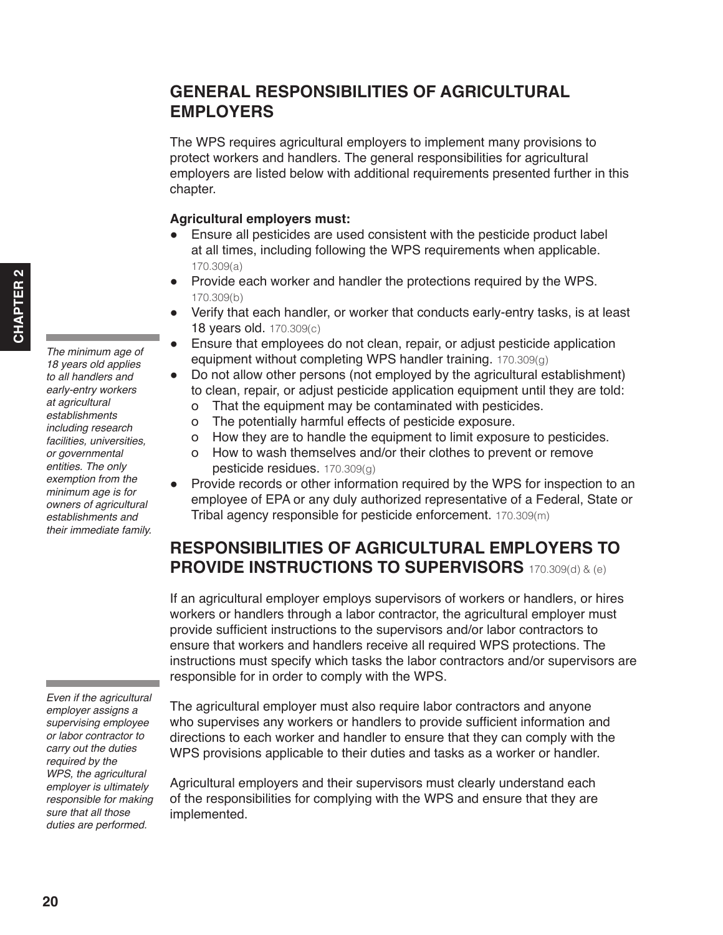# <span id="page-1-0"></span>**GENERAL RESPONSIBILITIES OF AGRICULTURAL EMPLOYERS**

The WPS requires agricultural employers to implement many provisions to protect workers and handlers. The general responsibilities for agricultural employers are listed below with additional requirements presented further in this chapter.

#### **Agricultural employers must:**

- Ensure all pesticides are used consistent with the pesticide product label at all times, including following the WPS requirements when applicable. 170.309(a)
- Provide each worker and handler the protections required by the WPS. 170.309(b)
- Verify that each handler, or worker that conducts early-entry tasks, is at least **18 years old.** 170.309(c)
- Ensure that employees do not clean, repair, or adjust pesticide application equipment without completing WPS handler training. 170.309(g)
- Do not allow other persons (not employed by the agricultural establishment) to clean, repair, or adjust pesticide application equipment until they are told:
	- о That the equipment may be contaminated with pesticides.
	- о The potentially harmful effects of pesticide exposure.
	- о How they are to handle the equipment to limit exposure to pesticides.
	- о How to wash themselves and/or their clothes to prevent or remove pesticide residues. 170.309(g)
- Provide records or other information required by the WPS for inspection to an employee of EPA or any duly authorized representative of a Federal, State or Tribal agency responsible for pesticide enforcement. 170.309(m)

# **RESPONSIBILITIES OF AGRICULTURAL EMPLOYERS TO PROVIDE INSTRUCTIONS TO SUPERVISORS** 170.309(d) & (e)

If an agricultural employer employs supervisors of workers or handlers, or hires workers or handlers through a labor contractor, the agricultural employer must provide sufficient instructions to the supervisors and/or labor contractors to ensure that workers and handlers receive all required WPS protections. The instructions must specify which tasks the labor contractors and/or supervisors are responsible for in order to comply with the WPS.

The agricultural employer must also require labor contractors and anyone who supervises any workers or handlers to provide sufficient information and directions to each worker and handler to ensure that they can comply with the WPS provisions applicable to their duties and tasks as a worker or handler.

Agricultural employers and their supervisors must clearly understand each of the responsibilities for complying with the WPS and ensure that they are implemented.

*The minimum age of 18 years old applies to all handlers and early-entry workers at agricultural establishments including research facilities, universities, or governmental entities. The only exemption from the minimum age is for owners of agricultural establishments and their immediate family.*

*Even if the agricultural employer assigns a supervising employee or labor contractor to carry out the duties required by the WPS, the agricultural employer is ultimately responsible for making sure that all those duties are performed.*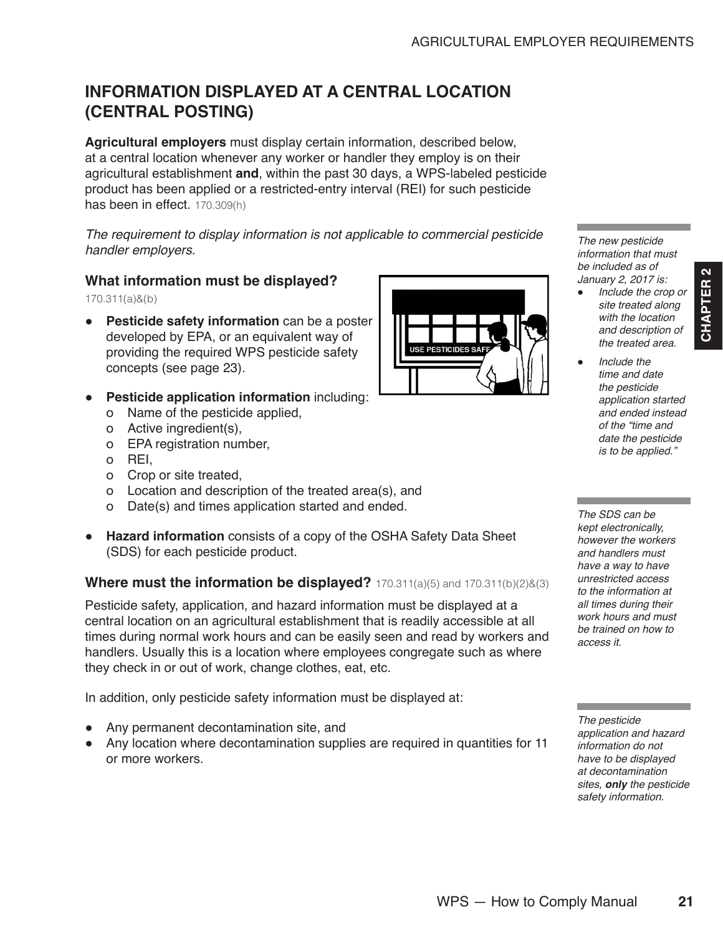# <span id="page-2-0"></span>**INFORMATION DISPLAYED AT A CENTRAL LOCATION (CENTRAL POSTING)**

**Agricultural employers** must display certain information, described below, at a central location whenever any worker or handler they employ is on their agricultural establishment **and**, within the past 30 days, a WPS-labeled pesticide product has been applied or a restricted-entry interval (REI) for such pesticide has been in effect. 170.309(h)

*The requirement to display information is not applicable to commercial pesticide handler employers.*

#### **What information must be displayed?**

170.311(a)&(b)

- **Pesticide safety information** can be a poster developed by EPA, or an equivalent way of providing the required WPS pesticide safety concepts (see page 23).
- **Pesticide application information** including:
	- о Name of the pesticide applied,
	- о Active ingredient(s),
	- о EPA registration number,
	- о REI,
	- о Crop or site treated,
	- о Location and description of the treated area(s), and
	- о Date(s) and times application started and ended.

**USE PESTICIDES** 

*The new pesticide information that must be included as of January 2, 2017 is:* 

*Include the crop or site treated along with the location and description of the treated area.*

**CHAPTER 2**

CHAPTER<sub>2</sub>

*Include the time and date the pesticide application started and ended instead of the "time and date the pesticide is to be applied."*

*The SDS can be kept electronically, however the workers and handlers must have a way to have unrestricted access to the information at all times during their work hours and must be trained on how to access it.*

*The pesticide application and hazard information do not have to be displayed at decontamination sites, only the pesticide safety information.*

| <u>a nanarono maot</u> |
|------------------------|
| have a way to have     |
| unrestricted access    |
| to the information at  |
| all times during their |
| work hours and mus     |
| be trained on how to   |
| access it.             |

WPS — How to Comply Manual **21**

● **Hazard information** consists of a copy of the OSHA Safety Data Sheet (SDS) for each pesticide product.

# **Where must the information be displayed?** 170.311(a)(5) and 170.311(b)(2)&(3)

Pesticide safety, application, and hazard information must be displayed at a central location on an agricultural establishment that is readily accessible at all times during normal work hours and can be easily seen and read by workers and handlers. Usually this is a location where employees congregate such as where they check in or out of work, change clothes, eat, etc.

In addition, only pesticide safety information must be displayed at:

- Any permanent decontamination site, and
- Any location where decontamination supplies are required in quantities for 11 or more workers.

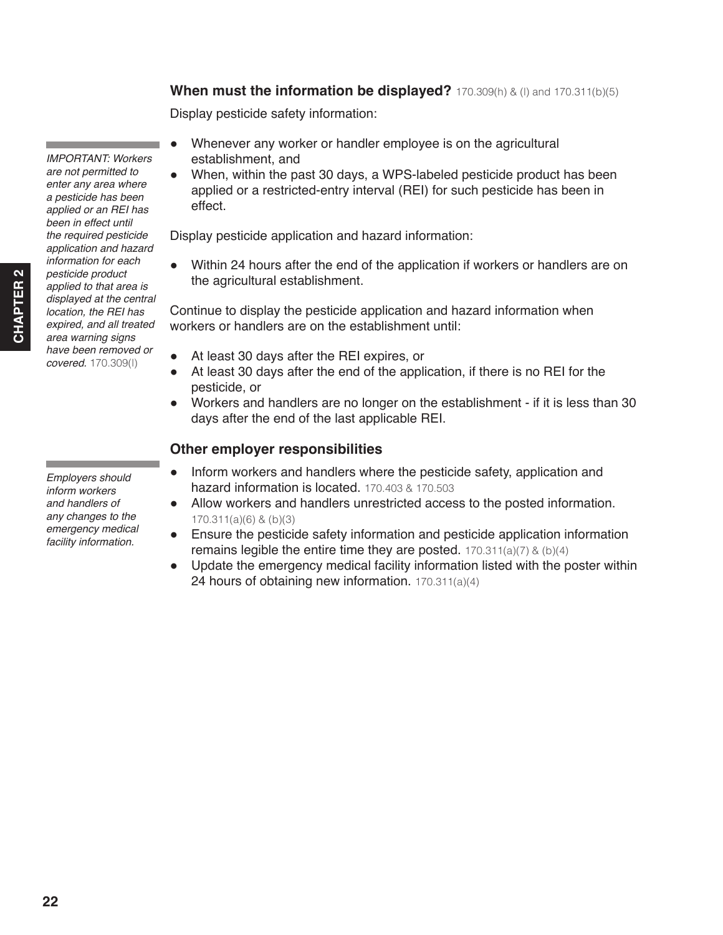*area warning signs have been removed or covered.* 170.309(l)

*IMPORTANT: Workers are not permitted to enter any area where a pesticide has been applied or an REI has been in effect until the required pesticide application and hazard information for each pesticide product applied to that area is displayed at the central location, the REI has expired, and all treated* 

*Employers should inform workers and handlers of any changes to the emergency medical facility information.*

# **When must the information be displayed?** 170.309(h) & (l) and 170.311(b)(5)

Display pesticide safety information:

- Whenever any worker or handler employee is on the agricultural establishment, and
- When, within the past 30 days, a WPS-labeled pesticide product has been applied or a restricted-entry interval (REI) for such pesticide has been in effect.

Display pesticide application and hazard information:

● Within 24 hours after the end of the application if workers or handlers are on the agricultural establishment.

Continue to display the pesticide application and hazard information when workers or handlers are on the establishment until:

- At least 30 days after the REI expires, or
- At least 30 days after the end of the application, if there is no REI for the pesticide, or
- Workers and handlers are no longer on the establishment if it is less than 30 days after the end of the last applicable REI.

## **Other employer responsibilities**

- Inform workers and handlers where the pesticide safety, application and hazard information is located. 170.403 & 170.503
- Allow workers and handlers unrestricted access to the posted information. 170.311(a)(6) & (b)(3)
- Ensure the pesticide safety information and pesticide application information remains legible the entire time they are posted.  $170.311(a)(7)$  &  $(b)(4)$
- Update the emergency medical facility information listed with the poster within 24 hours of obtaining new information. 170.311(a)(4)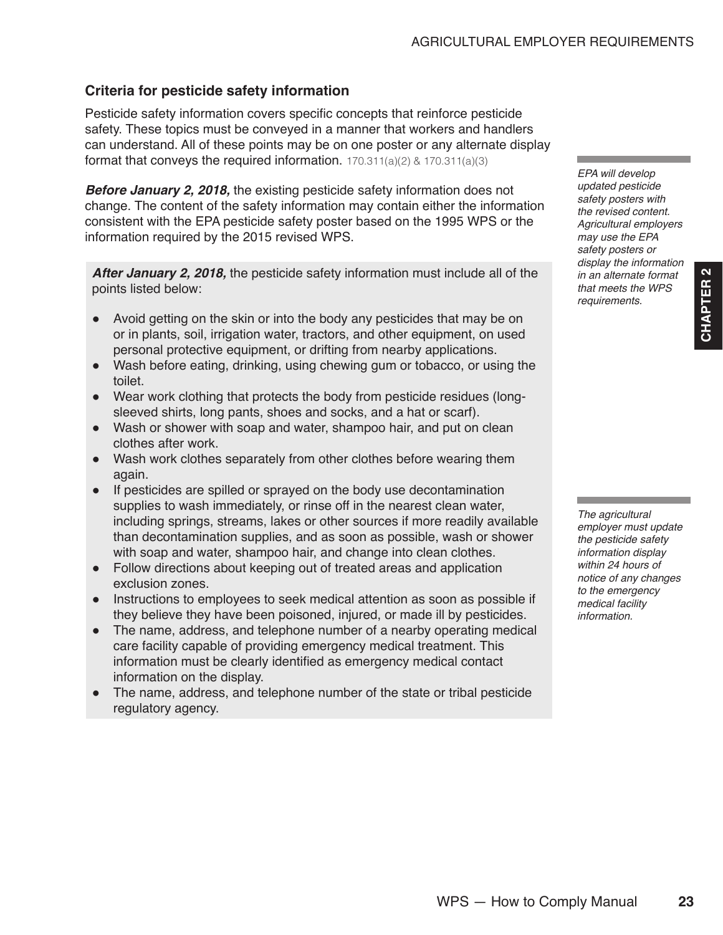# **Criteria for pesticide safety information**

Pesticide safety information covers specific concepts that reinforce pesticide safety. These topics must be conveyed in a manner that workers and handlers can understand. All of these points may be on one poster or any alternate display format that conveys the required information. 170.311(a)(2) & 170.311(a)(3)

*Before January 2, 2018,* the existing pesticide safety information does not change. The content of the safety information may contain either the information consistent with the EPA pesticide safety poster based on the 1995 WPS or the information required by the 2015 revised WPS.

*After January 2, 2018,* the pesticide safety information must include all of the points listed below:

- Avoid getting on the skin or into the body any pesticides that may be on or in plants, soil, irrigation water, tractors, and other equipment, on used personal protective equipment, or drifting from nearby applications.
- Wash before eating, drinking, using chewing gum or tobacco, or using the toilet.
- Wear work clothing that protects the body from pesticide residues (longsleeved shirts, long pants, shoes and socks, and a hat or scarf).
- Wash or shower with soap and water, shampoo hair, and put on clean clothes after work.
- Wash work clothes separately from other clothes before wearing them again.
- If pesticides are spilled or sprayed on the body use decontamination supplies to wash immediately, or rinse off in the nearest clean water, including springs, streams, lakes or other sources if more readily available than decontamination supplies, and as soon as possible, wash or shower with soap and water, shampoo hair, and change into clean clothes.
- Follow directions about keeping out of treated areas and application exclusion zones.
- Instructions to employees to seek medical attention as soon as possible if they believe they have been poisoned, injured, or made ill by pesticides.
- The name, address, and telephone number of a nearby operating medical care facility capable of providing emergency medical treatment. This information must be clearly identified as emergency medical contact information on the display.
- The name, address, and telephone number of the state or tribal pesticide regulatory agency.

*EPA will develop updated pesticide safety posters with the revised content. Agricultural employers may use the EPA safety posters or display the information in an alternate format that meets the WPS requirements.*

**CHAPTER 2**

CHAPTER<sub>2</sub>

*The agricultural employer must update the pesticide safety information display within 24 hours of notice of any changes to the emergency medical facility information.*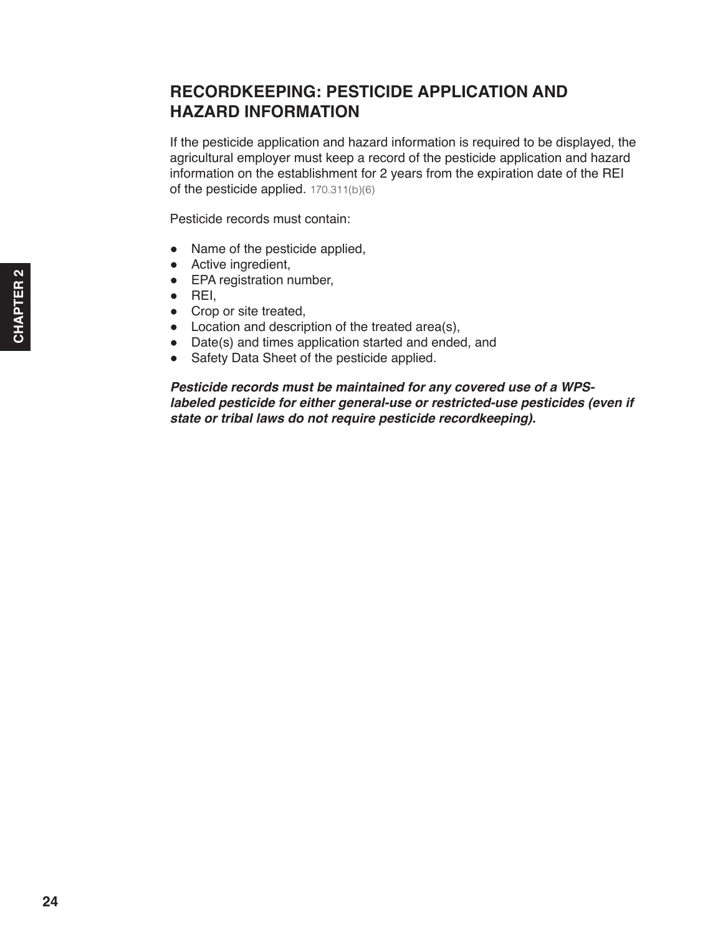# <span id="page-5-0"></span>**RECORDKEEPING: PESTICIDE APPLICATION AND HAZARD INFORMATION**

If the pesticide application and hazard information is required to be displayed, the agricultural employer must keep a record of the pesticide application and hazard information on the establishment for 2 years from the expiration date of the REI of the pesticide applied. 170.311(b)(6)

Pesticide records must contain:

- Name of the pesticide applied,
- Active ingredient,
- EPA registration number,
- $\bullet$  REI.
- Crop or site treated,
- Location and description of the treated area(s),
- Date(s) and times application started and ended, and
- Safety Data Sheet of the pesticide applied.

*Pesticide records must be maintained for any covered use of a WPSlabeled pesticide for either general-use or restricted-use pesticides (even if state or tribal laws do not require pesticide recordkeeping).*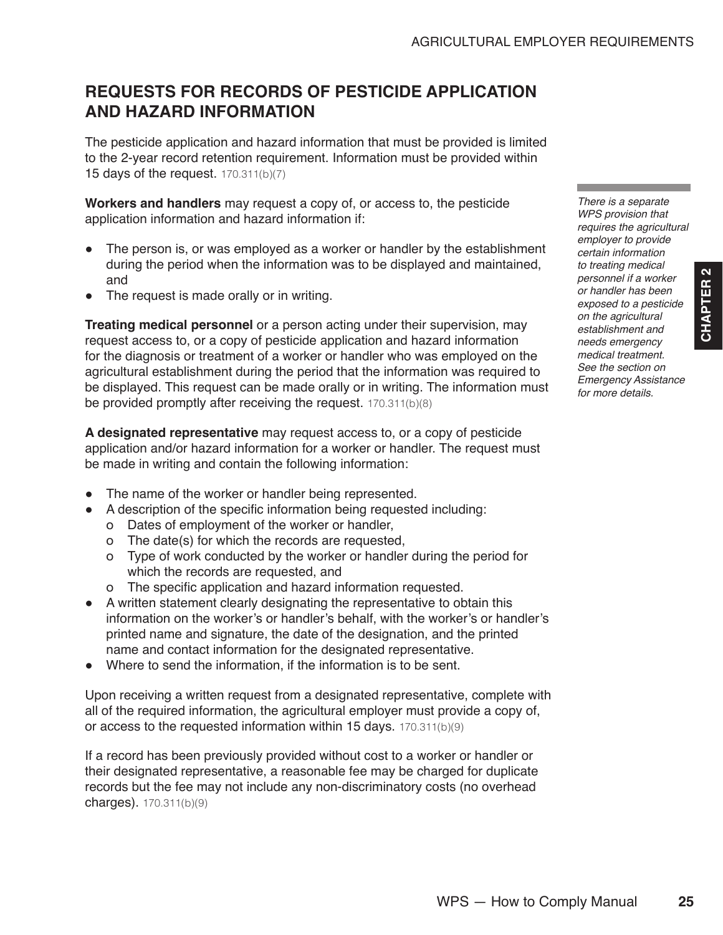# <span id="page-6-0"></span>**REQUESTS FOR RECORDS OF PESTICIDE APPLICATION AND HAZARD INFORMATION**

The pesticide application and hazard information that must be provided is limited to the 2-year record retention requirement. Information must be provided within 15 days of the request. 170.311(b)(7)

**Workers and handlers** may request a copy of, or access to, the pesticide application information and hazard information if:

- The person is, or was employed as a worker or handler by the establishment during the period when the information was to be displayed and maintained, and
- The request is made orally or in writing.

**Treating medical personnel** or a person acting under their supervision, may request access to, or a copy of pesticide application and hazard information for the diagnosis or treatment of a worker or handler who was employed on the agricultural establishment during the period that the information was required to be displayed. This request can be made orally or in writing. The information must be provided promptly after receiving the request. 170.311(b)(8)

**A designated representative** may request access to, or a copy of pesticide application and/or hazard information for a worker or handler. The request must be made in writing and contain the following information:

- The name of the worker or handler being represented.
- A description of the specific information being requested including:
	- о Dates of employment of the worker or handler,
	- о The date(s) for which the records are requested,
	- о Type of work conducted by the worker or handler during the period for which the records are requested, and
	- о The specific application and hazard information requested.
- A written statement clearly designating the representative to obtain this information on the worker's or handler's behalf, with the worker's or handler's printed name and signature, the date of the designation, and the printed name and contact information for the designated representative.
- Where to send the information, if the information is to be sent.

Upon receiving a written request from a designated representative, complete with all of the required information, the agricultural employer must provide a copy of, or access to the requested information within 15 days. 170.311(b)(9)

If a record has been previously provided without cost to a worker or handler or their designated representative, a reasonable fee may be charged for duplicate records but the fee may not include any non-discriminatory costs (no overhead charges). 170.311(b)(9)

*There is a separate WPS provision that requires the agricultural employer to provide certain information to treating medical personnel if a worker or handler has been exposed to a pesticide on the agricultural establishment and needs emergency medical treatment. See the section on Emergency Assistance for more details.*

**CHAPTER 2**

CHAPTER<sub>2</sub>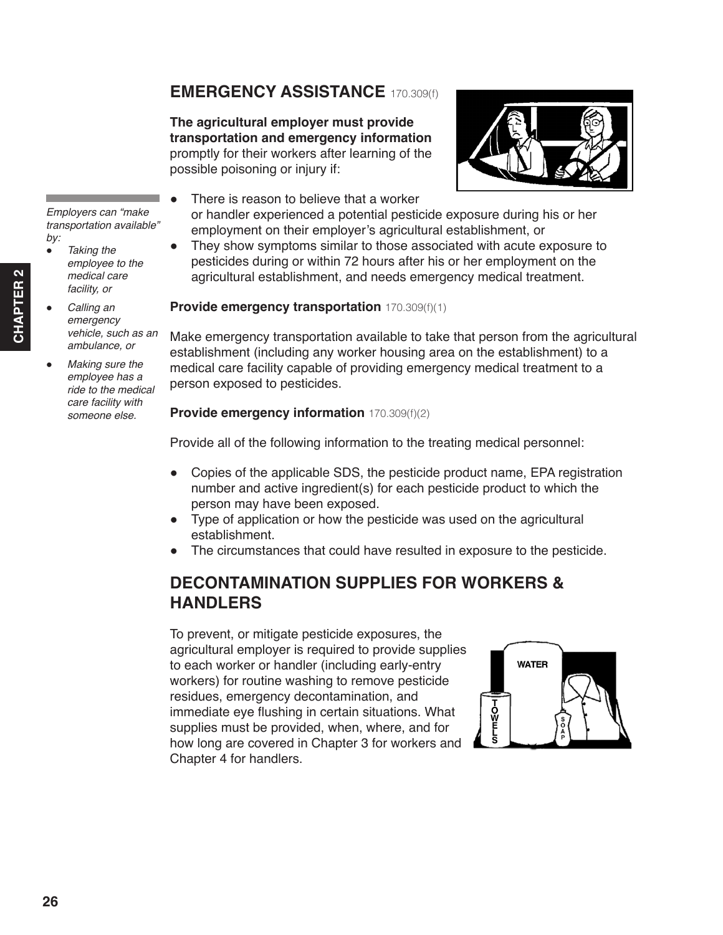# <span id="page-7-0"></span>**EMERGENCY ASSISTANCE** 170.309(f)

**The agricultural employer must provide transportation and emergency information** promptly for their workers after learning of the possible poisoning or injury if:



- There is reason to believe that a worker or handler experienced a potential pesticide exposure during his or her employment on their employer's agricultural establishment, or
- They show symptoms similar to those associated with acute exposure to pesticides during or within 72 hours after his or her employment on the agricultural establishment, and needs emergency medical treatment.

#### **Provide emergency transportation** 170.309(f)(1)

Make emergency transportation available to take that person from the agricultural establishment (including any worker housing area on the establishment) to a medical care facility capable of providing emergency medical treatment to a person exposed to pesticides.

#### **Provide emergency information** 170.309(f)(2)

Provide all of the following information to the treating medical personnel:

- Copies of the applicable SDS, the pesticide product name, EPA registration number and active ingredient(s) for each pesticide product to which the person may have been exposed.
- Type of application or how the pesticide was used on the agricultural establishment.
- The circumstances that could have resulted in exposure to the pesticide.

# **DECONTAMINATION SUPPLIES FOR WORKERS & HANDLERS**

To prevent, or mitigate pesticide exposures, the agricultural employer is required to provide supplies to each worker or handler (including early-entry workers) for routine washing to remove pesticide residues, emergency decontamination, and immediate eye flushing in certain situations. What supplies must be provided, when, where, and for how long are covered in Chapter 3 for workers and Chapter 4 for handlers.



*Employers can "make transportation available" by:*

- *Taking the employee to the medical care facility, or*
- *Calling an emergency vehicle, such as an ambulance, or*
- *Making sure the employee has a ride to the medical care facility with someone else.*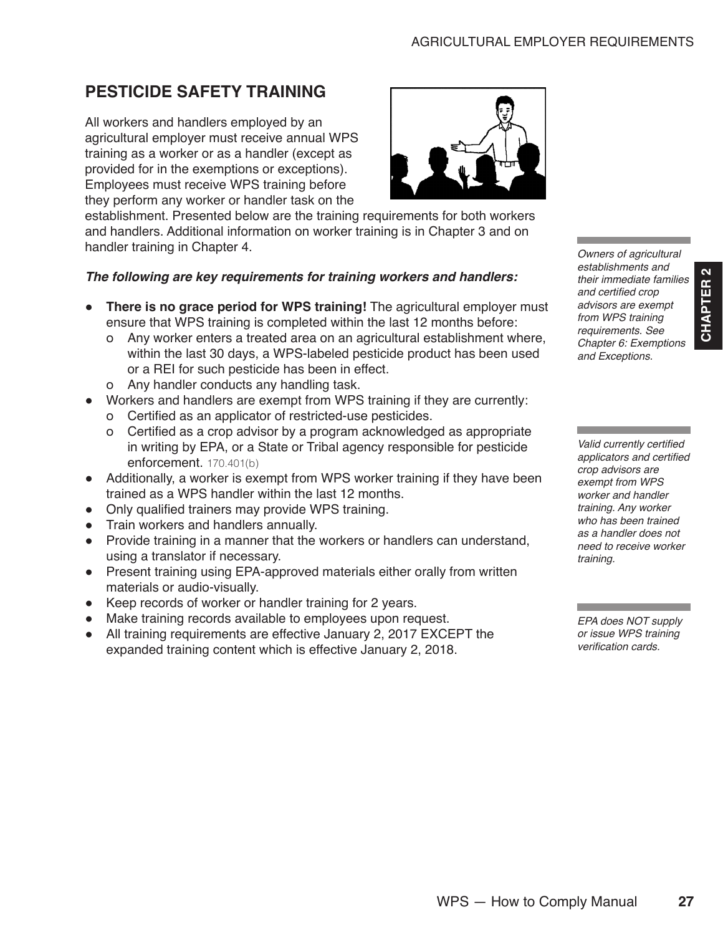# <span id="page-8-0"></span>**PESTICIDE SAFETY TRAINING**

All workers and handlers employed by an agricultural employer must receive annual WPS training as a worker or as a handler (except as provided for in the exemptions or exceptions). Employees must receive WPS training before they perform any worker or handler task on the

establishment. Presented below are the training requirements for both workers and handlers. Additional information on worker training is in Chapter 3 and on handler training in Chapter 4.

#### *The following are key requirements for training workers and handlers:*

- **There is no grace period for WPS training!** The agricultural employer must ensure that WPS training is completed within the last 12 months before:
	- о Any worker enters a treated area on an agricultural establishment where, within the last 30 days, a WPS-labeled pesticide product has been used or a REI for such pesticide has been in effect.
	- о Any handler conducts any handling task.
- Workers and handlers are exempt from WPS training if they are currently:
	- о Certified as an applicator of restricted-use pesticides.
	- о Certified as a crop advisor by a program acknowledged as appropriate in writing by EPA, or a State or Tribal agency responsible for pesticide enforcement. 170.401(b)
- Additionally, a worker is exempt from WPS worker training if they have been trained as a WPS handler within the last 12 months.
- Only qualified trainers may provide WPS training.
- Train workers and handlers annually.
- Provide training in a manner that the workers or handlers can understand, using a translator if necessary.
- Present training using EPA-approved materials either orally from written materials or audio-visually.
- Keep records of worker or handler training for 2 years.
- Make training records available to employees upon request.
- All training requirements are effective January 2, 2017 EXCEPT the expanded training content which is effective January 2, 2018.

*Owners of agricultural establishments and their immediate families*  and certified crop *advisors are exempt from WPS training requirements. See Chapter 6: Exemptions and Exceptions.*

**CHAPTER 2**

CHAPTER<sub>2</sub>

Valid currently certified applicators and certified *crop advisors are exempt from WPS worker and handler training. Any worker who has been trained as a handler does not need to receive worker training.*

*EPA does NOT supply or issue WPS training*  verification cards.

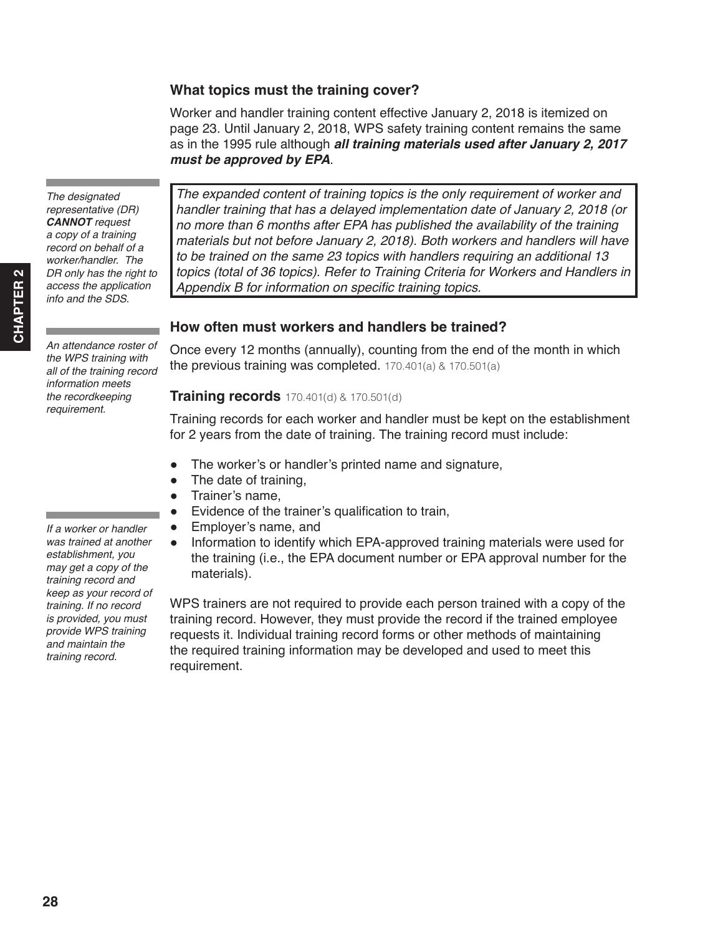# **What topics must the training cover?**

Worker and handler training content effective January 2, 2018 is itemized on page 23. Until January 2, 2018, WPS safety training content remains the same as in the 1995 rule although *all training materials used after January 2, 2017 must be approved by EPA*.

*The expanded content of training topics is the only requirement of worker and handler training that has a delayed implementation date of January 2, 2018 (or no more than 6 months after EPA has published the availability of the training materials but not before January 2, 2018). Both workers and handlers will have to be trained on the same 23 topics with handlers requiring an additional 13 topics (total of 36 topics). Refer to Training Criteria for Workers and Handlers in*  Appendix B for information on specific training topics.

# **How often must workers and handlers be trained?**

Once every 12 months (annually), counting from the end of the month in which the previous training was completed. 170.401(a) & 170.501(a)

## **Training records** 170.401(d) & 170.501(d)

Training records for each worker and handler must be kept on the establishment for 2 years from the date of training. The training record must include:

- The worker's or handler's printed name and signature,
- The date of training,
- Trainer's name,
- Evidence of the trainer's qualification to train,
- Employer's name, and
- Information to identify which EPA-approved training materials were used for the training (i.e., the EPA document number or EPA approval number for the materials).

WPS trainers are not required to provide each person trained with a copy of the training record. However, they must provide the record if the trained employee requests it. Individual training record forms or other methods of maintaining the required training information may be developed and used to meet this requirement.

*The designated representative (DR) CANNOT request a copy of a training record on behalf of a worker/handler. The DR only has the right to access the application info and the SDS.*

*An attendance roster of the WPS training with all of the training record information meets the recordkeeping requirement.*

*If a worker or handler was trained at another establishment, you may get a copy of the training record and keep as your record of training. If no record is provided, you must provide WPS training and maintain the training record.*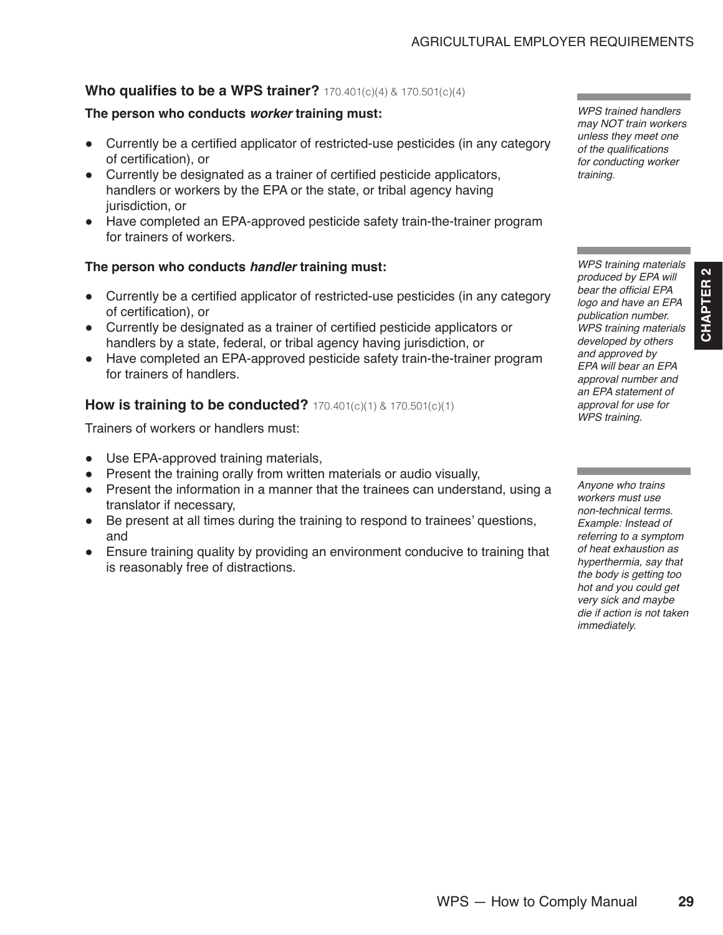#### **Who qualifies to be a WPS trainer? 170.401(c)(4)** & **170.501(c)(4)**

#### **The person who conducts** *worker* **training must:**

- Currently be a certified applicator of restricted-use pesticides (in any category of certification), or
- Currently be designated as a trainer of certified pesticide applicators, handlers or workers by the EPA or the state, or tribal agency having jurisdiction, or
- Have completed an EPA-approved pesticide safety train-the-trainer program for trainers of workers.

#### **The person who conducts** *handler* **training must:**

- Currently be a certified applicator of restricted-use pesticides (in any category of certification), or
- Currently be designated as a trainer of certified pesticide applicators or handlers by a state, federal, or tribal agency having jurisdiction, or
- Have completed an EPA-approved pesticide safety train-the-trainer program for trainers of handlers.

#### **How is training to be conducted? 170.401(c)(1)** & **170.501(c)(1)**

Trainers of workers or handlers must:

- Use EPA-approved training materials,
- Present the training orally from written materials or audio visually,
- Present the information in a manner that the trainees can understand, using a translator if necessary,
- Be present at all times during the training to respond to trainees' questions, and
- Ensure training quality by providing an environment conducive to training that is reasonably free of distractions.

*WPS trained handlers may NOT train workers unless they meet one*  of the qualifications *for conducting worker training.*

*WPS training materials produced by EPA will*  bear the official EPA *logo and have an EPA publication number. WPS training materials developed by others and approved by EPA will bear an EPA approval number and an EPA statement of approval for use for WPS training.*

**CHAPTER 2**

CHAPTER<sub>2</sub>

*Anyone who trains workers must use non-technical terms. Example: Instead of referring to a symptom of heat exhaustion as hyperthermia, say that the body is getting too hot and you could get very sick and maybe die if action is not taken immediately.*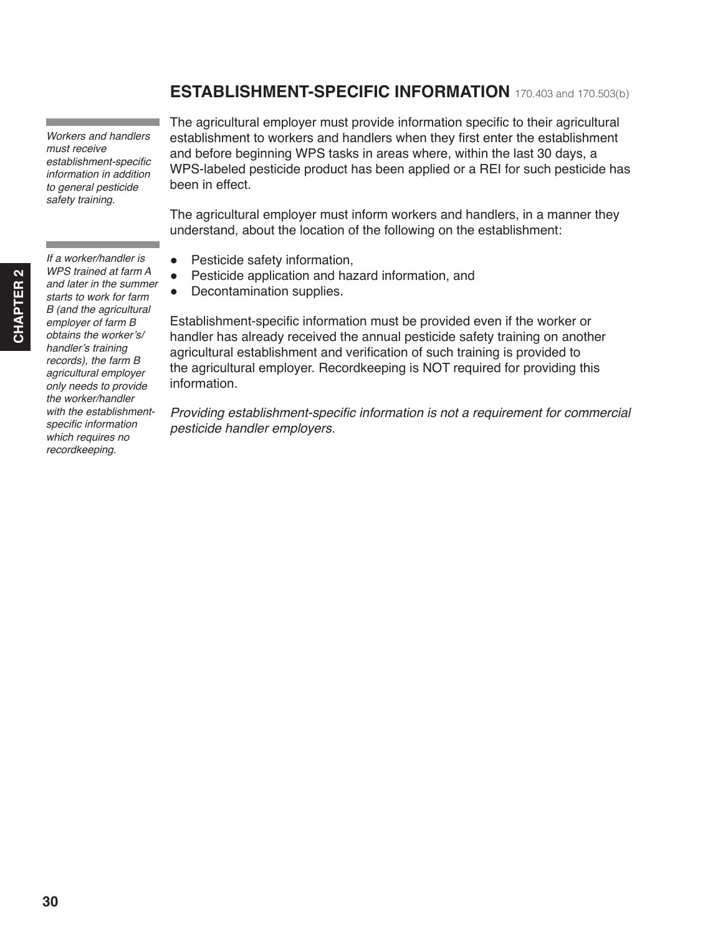# **ESTABLISHMENT-SPECIFIC INFORMATION** 170.403 and 170.503(b)

<span id="page-11-0"></span>*Workers and handlers must receive*  establishment-specific *information in addition to general pesticide safety training.*

*If a worker/handler is WPS trained at farm A and later in the summer starts to work for farm B (and the agricultural employer of farm B*  obtains the worker's/ handler's training *records), the farm B agricultural employer only needs to provide the worker/handler with the establishment*specific information *which requires no recordkeeping.*

The agricultural employer must provide information specific to their agricultural establishment to workers and handlers when they first enter the establishment and before beginning WPS tasks in areas where, within the last 30 days, a WPS-labeled pesticide product has been applied or a REI for such pesticide has been in effect.

The agricultural employer must inform workers and handlers, in a manner they understand, about the location of the following on the establishment:

- Pesticide safety information,
- Pesticide application and hazard information, and
- Decontamination supplies.

Establishment-specific information must be provided even if the worker or handler has already received the annual pesticide safety training on another agricultural establishment and verification of such training is provided to the agricultural employer. Recordkeeping is NOT required for providing this information.

Providing establishment-specific information is not a requirement for commercial *pesticide handler employers.* 

 $\mathbf{\Omega}$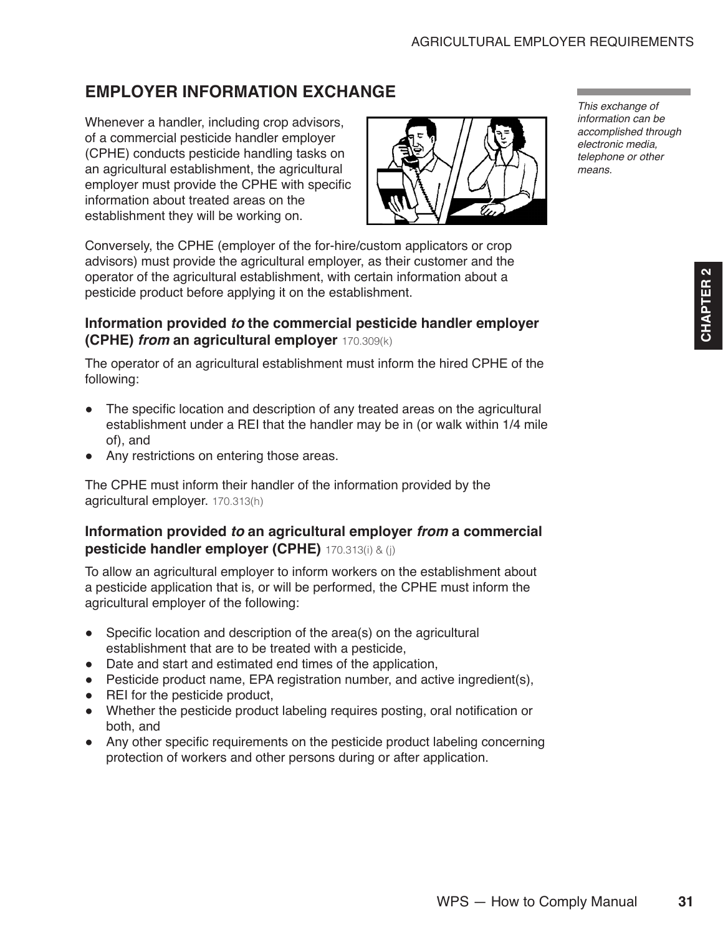# <span id="page-12-0"></span>**EMPLOYER INFORMATION EXCHANGE**

Whenever a handler, including crop advisors, of a commercial pesticide handler employer (CPHE) conducts pesticide handling tasks on an agricultural establishment, the agricultural employer must provide the CPHE with specific information about treated areas on the establishment they will be working on.



Conversely, the CPHE (employer of the for-hire/custom applicators or crop advisors) must provide the agricultural employer, as their customer and the operator of the agricultural establishment, with certain information about a pesticide product before applying it on the establishment.

## **Information provided** *to* **the commercial pesticide handler employer (CPHE)** *from* **an agricultural employer** 170.309(k)

The operator of an agricultural establishment must inform the hired CPHE of the following:

- The specific location and description of any treated areas on the agricultural establishment under a REI that the handler may be in (or walk within 1/4 mile of), and
- Any restrictions on entering those areas.

The CPHE must inform their handler of the information provided by the agricultural employer. 170.313(h)

#### **Information provided** *to* **an agricultural employer** *from* **a commercial pesticide handler employer (CPHE)** 170.313(i) & (j)

To allow an agricultural employer to inform workers on the establishment about a pesticide application that is, or will be performed, the CPHE must inform the agricultural employer of the following:

- Specific location and description of the area(s) on the agricultural establishment that are to be treated with a pesticide,
- Date and start and estimated end times of the application,
- Pesticide product name, EPA registration number, and active ingredient(s),
- REI for the pesticide product,
- Whether the pesticide product labeling requires posting, oral notification or both, and
- Any other specific requirements on the pesticide product labeling concerning protection of workers and other persons during or after application.

*This exchange of information can be accomplished through electronic media, telephone or other means.*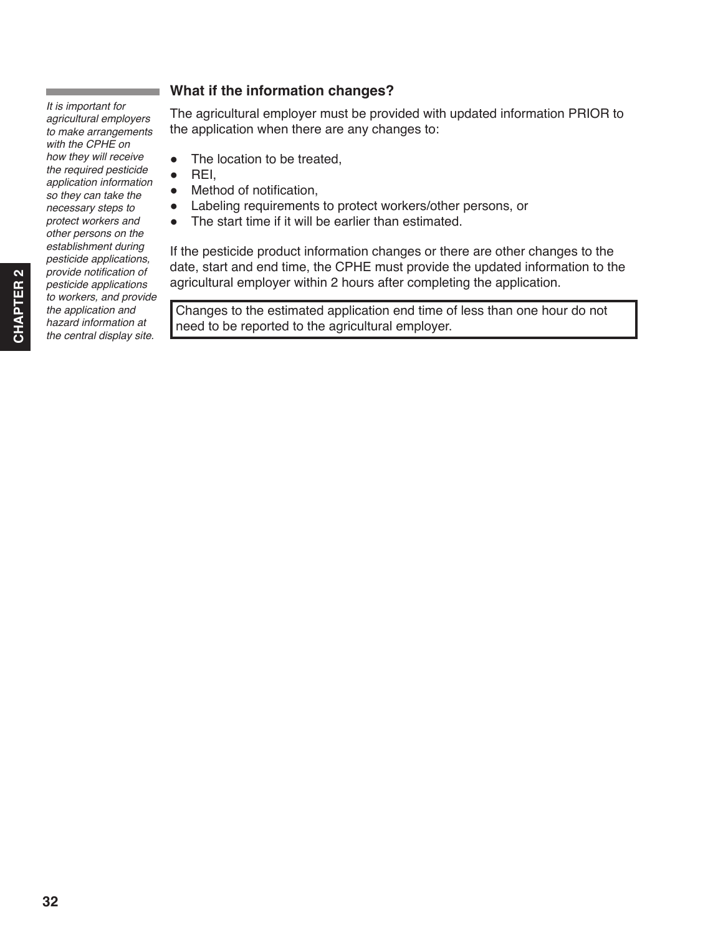*agricultural employers to make arrangements with the CPHE on how they will receive the required pesticide application information so they can take the necessary steps to protect workers and other persons on the establishment during pesticide applications,*  provide notification of *pesticide applications to workers, and provide the application and hazard information at the central display site.* 

*It is important for* 

# **What if the information changes?**

The agricultural employer must be provided with updated information PRIOR to the application when there are any changes to:

- The location to be treated,
- REI,
- Method of notification,
- Labeling requirements to protect workers/other persons, or
- The start time if it will be earlier than estimated.

If the pesticide product information changes or there are other changes to the date, start and end time, the CPHE must provide the updated information to the agricultural employer within 2 hours after completing the application.

Changes to the estimated application end time of less than one hour do not need to be reported to the agricultural employer.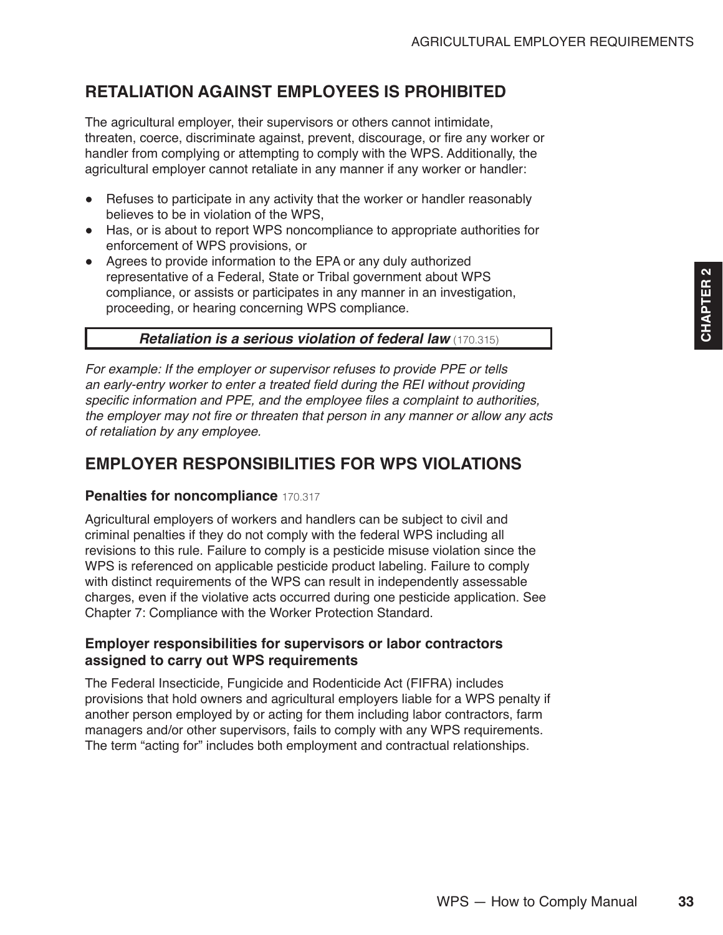# <span id="page-14-0"></span>**RETALIATION AGAINST EMPLOYEES IS PROHIBITED**

The agricultural employer, their supervisors or others cannot intimidate, threaten, coerce, discriminate against, prevent, discourage, or fire any worker or handler from complying or attempting to comply with the WPS. Additionally, the agricultural employer cannot retaliate in any manner if any worker or handler:

- Refuses to participate in any activity that the worker or handler reasonably believes to be in violation of the WPS,
- Has, or is about to report WPS noncompliance to appropriate authorities for enforcement of WPS provisions, or
- Agrees to provide information to the EPA or any duly authorized representative of a Federal, State or Tribal government about WPS compliance, or assists or participates in any manner in an investigation, proceeding, or hearing concerning WPS compliance.

## *Retaliation is a serious violation of federal law* (170.315)

*For example: If the employer or supervisor refuses to provide PPE or tells*  an early-entry worker to enter a treated field during the REI without providing specific information and PPE, and the employee files a complaint to authorities, the employer may not fire or threaten that person in any manner or allow any acts *of retaliation by any employee.*

# **EMPLOYER RESPONSIBILITIES FOR WPS VIOLATIONS**

#### **Penalties for noncompliance** 170.317

Agricultural employers of workers and handlers can be subject to civil and criminal penalties if they do not comply with the federal WPS including all revisions to this rule. Failure to comply is a pesticide misuse violation since the WPS is referenced on applicable pesticide product labeling. Failure to comply with distinct requirements of the WPS can result in independently assessable charges, even if the violative acts occurred during one pesticide application. See Chapter 7: Compliance with the Worker Protection Standard.

#### **Employer responsibilities for supervisors or labor contractors assigned to carry out WPS requirements**

The Federal Insecticide, Fungicide and Rodenticide Act (FIFRA) includes provisions that hold owners and agricultural employers liable for a WPS penalty if another person employed by or acting for them including labor contractors, farm managers and/or other supervisors, fails to comply with any WPS requirements. The term "acting for" includes both employment and contractual relationships.